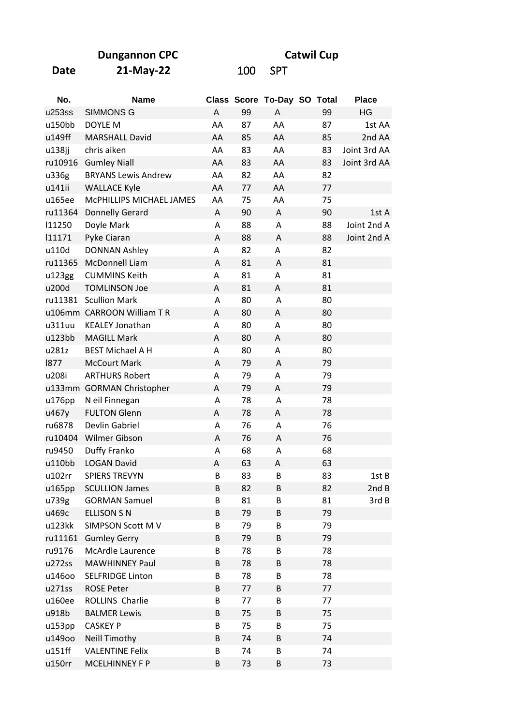**Dungannon CPC** 

Catwil Cup

| I<br>I | ×<br>۰. |
|--------|---------|
|--------|---------|

21-May-22

100 SPT

| No.     | <b>Name</b>                |    |    | Class Score To-Day SO Total |    | <b>Place</b> |
|---------|----------------------------|----|----|-----------------------------|----|--------------|
| u253ss  | <b>SIMMONS G</b>           | A  | 99 | A                           | 99 | HG           |
| u150bb  | DOYLE M                    | AA | 87 | AA                          | 87 | 1st AA       |
| u149ff  | <b>MARSHALL David</b>      | AA | 85 | AA                          | 85 | 2nd AA       |
| u138jj  | chris aiken                | AA | 83 | AA                          | 83 | Joint 3rd AA |
| ru10916 | <b>Gumley Niall</b>        | AA | 83 | AA                          | 83 | Joint 3rd AA |
| u336g   | <b>BRYANS Lewis Andrew</b> | AA | 82 | AA                          | 82 |              |
| u141ii  | <b>WALLACE Kyle</b>        | AA | 77 | AA                          | 77 |              |
| u165ee  | MCPHILLIPS MICHAEL JAMES   | AA | 75 | AA                          | 75 |              |
| ru11364 | <b>Donnelly Gerard</b>     | A  | 90 | Α                           | 90 | 1st A        |
| 11250   | Doyle Mark                 | A  | 88 | Α                           | 88 | Joint 2nd A  |
| 111171  | Pyke Ciaran                | Α  | 88 | Α                           | 88 | Joint 2nd A  |
| u110d   | <b>DONNAN Ashley</b>       | Α  | 82 | Α                           | 82 |              |
| ru11365 | McDonnell Liam             | A  | 81 | Α                           | 81 |              |
| u123gg  | <b>CUMMINS Keith</b>       | A  | 81 | Α                           | 81 |              |
| u200d   | <b>TOMLINSON Joe</b>       | A  | 81 | Α                           | 81 |              |
| ru11381 | <b>Scullion Mark</b>       | A  | 80 | A                           | 80 |              |
|         | u106mm CARROON William TR  | A  | 80 | A                           | 80 |              |
| u311uu  | <b>KEALEY Jonathan</b>     | A  | 80 | Α                           | 80 |              |
| u123bb  | <b>MAGILL Mark</b>         | A  | 80 | A                           | 80 |              |
| u281z   | <b>BEST Michael A H</b>    | A  | 80 | Α                           | 80 |              |
| 1877    | <b>McCourt Mark</b>        | A  | 79 | A                           | 79 |              |
| u208i   | <b>ARTHURS Robert</b>      | Α  | 79 | Α                           | 79 |              |
|         | u133mm GORMAN Christopher  | Α  | 79 | A                           | 79 |              |
| u176pp  | N eil Finnegan             | Α  | 78 | Α                           | 78 |              |
| u467y   | <b>FULTON Glenn</b>        | Α  | 78 | Α                           | 78 |              |
| ru6878  | Devlin Gabriel             | A  | 76 | Α                           | 76 |              |
| ru10404 | Wilmer Gibson              | Α  | 76 | Α                           | 76 |              |
| ru9450  | Duffy Franko               | Α  | 68 | Α                           | 68 |              |
| u110bb  | <b>LOGAN David</b>         | A  | 63 | A                           | 63 |              |
| u102rr  | <b>SPIERS TREVYN</b>       | B  | 83 | B                           | 83 | 1st B        |
| u165pp  | <b>SCULLION James</b>      | В  | 82 | В                           | 82 | 2ndB         |
| u739g   | <b>GORMAN Samuel</b>       | B  | 81 | B                           | 81 | 3rd B        |
| u469c   | <b>ELLISON S N</b>         | B  | 79 | B                           | 79 |              |
| u123kk  | SIMPSON Scott MV           | B  | 79 | B                           | 79 |              |
| ru11161 | <b>Gumley Gerry</b>        | B  | 79 | B                           | 79 |              |
| ru9176  | McArdle Laurence           | B  | 78 | B                           | 78 |              |
| u272ss  | <b>MAWHINNEY Paul</b>      | B  | 78 | B                           | 78 |              |
| u146oo  | <b>SELFRIDGE Linton</b>    | B  | 78 | B                           | 78 |              |
| u271ss  | <b>ROSE Peter</b>          | В  | 77 | B                           | 77 |              |
| u160ee  | ROLLINS Charlie            | B  | 77 | B                           | 77 |              |
| u918b   | <b>BALMER Lewis</b>        | B  | 75 | B                           | 75 |              |
| u153pp  | <b>CASKEY P</b>            | B  | 75 | B                           | 75 |              |
| u149oo  | <b>Neill Timothy</b>       | B  | 74 | B                           | 74 |              |
| u151ff  | <b>VALENTINE Felix</b>     | B  | 74 | B                           | 74 |              |
| u150rr  | MCELHINNEY F P             | B  | 73 | B                           | 73 |              |